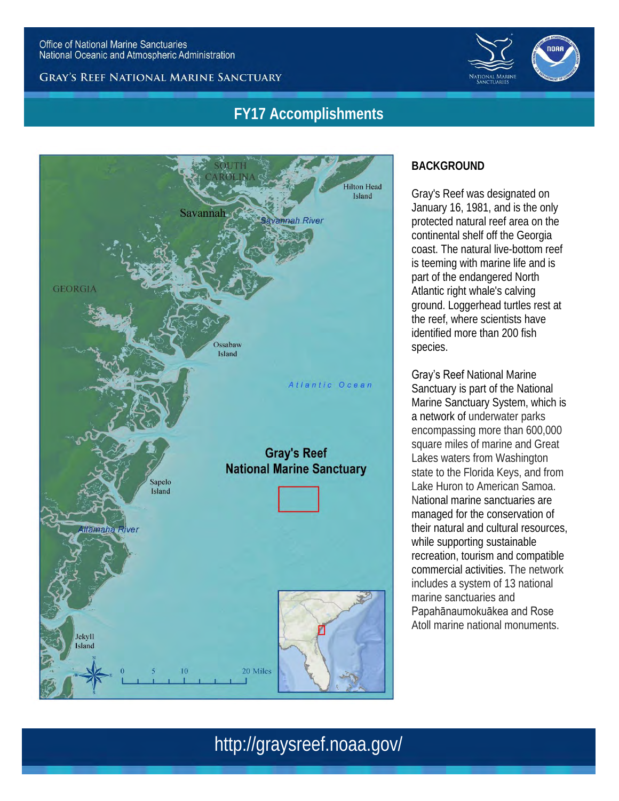



## **FY17 Accomplishments**



### **BACKGROUND**

Gray's Reef was designated on January 16, 1981, and is the only protected natural reef area on the continental shelf off the Georgia coast. The natural live-bottom reef is teeming with marine life and is part of the endangered North Atlantic right whale's calving ground. Loggerhead turtles rest at the reef, where scientists have identified more than 200 fish species.

Gray's Reef National Marine Sanctuary is part of the National Marine Sanctuary System, which is a network of underwater parks encompassing more than 600,000 square miles of marine and Great Lakes waters from Washington state to the Florida Keys, and from Lake Huron to American Samoa. National marine sanctuaries are managed for the conservation of their natural and cultural resources, while supporting sustainable recreation, tourism and compatible commercial activities. The network includes a system of 13 national marine sanctuaries and Papahānaumokuākea and Rose Atoll marine national monuments.

## http://graysreef.noaa.gov/